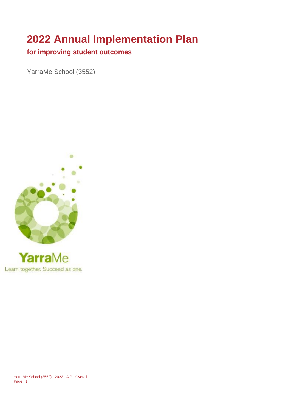## **2022 Annual Implementation Plan**

## **for improving student outcomes**

YarraMe School (3552)





YarraMe School (3552) - 2022 - AIP - Overall Page 1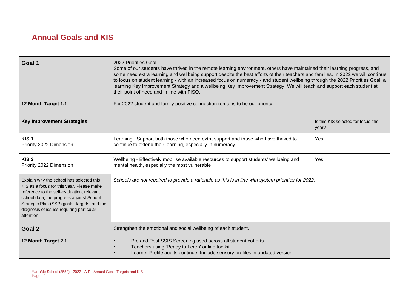## **Annual Goals and KIS**

| Goal 1                                                                                                                                                                                                                                                                                    | 2022 Priorities Goal<br>Some of our students have thrived in the remote learning environment, others have maintained their learning progress, and<br>some need extra learning and wellbeing support despite the best efforts of their teachers and families. In 2022 we will continue<br>to focus on student learning - with an increased focus on numeracy - and student wellbeing through the 2022 Priorities Goal, a<br>learning Key Improvement Strategy and a wellbeing Key Improvement Strategy. We will teach and support each student at<br>their point of need and in line with FISO. |                                              |
|-------------------------------------------------------------------------------------------------------------------------------------------------------------------------------------------------------------------------------------------------------------------------------------------|------------------------------------------------------------------------------------------------------------------------------------------------------------------------------------------------------------------------------------------------------------------------------------------------------------------------------------------------------------------------------------------------------------------------------------------------------------------------------------------------------------------------------------------------------------------------------------------------|----------------------------------------------|
| 12 Month Target 1.1                                                                                                                                                                                                                                                                       | For 2022 student and family positive connection remains to be our priority.                                                                                                                                                                                                                                                                                                                                                                                                                                                                                                                    |                                              |
| <b>Key Improvement Strategies</b>                                                                                                                                                                                                                                                         |                                                                                                                                                                                                                                                                                                                                                                                                                                                                                                                                                                                                | Is this KIS selected for focus this<br>year? |
| KIS <sub>1</sub><br>Priority 2022 Dimension                                                                                                                                                                                                                                               | Learning - Support both those who need extra support and those who have thrived to<br>continue to extend their learning, especially in numeracy                                                                                                                                                                                                                                                                                                                                                                                                                                                | Yes                                          |
| KIS <sub>2</sub><br>Priority 2022 Dimension                                                                                                                                                                                                                                               | Wellbeing - Effectively mobilise available resources to support students' wellbeing and<br>mental health, especially the most vulnerable                                                                                                                                                                                                                                                                                                                                                                                                                                                       | Yes                                          |
| Explain why the school has selected this<br>KIS as a focus for this year. Please make<br>reference to the self-evaluation, relevant<br>school data, the progress against School<br>Strategic Plan (SSP) goals, targets, and the<br>diagnosis of issues requiring particular<br>attention. | Schools are not required to provide a rationale as this is in line with system priorities for 2022.                                                                                                                                                                                                                                                                                                                                                                                                                                                                                            |                                              |
| Goal 2                                                                                                                                                                                                                                                                                    | Strengthen the emotional and social wellbeing of each student.                                                                                                                                                                                                                                                                                                                                                                                                                                                                                                                                 |                                              |
| 12 Month Target 2.1                                                                                                                                                                                                                                                                       | Pre and Post SSIS Screening used across all student cohorts<br>Teachers using 'Ready to Learn' online toolkit<br>Learner Profile audits continue. Include sensory profiles in updated version                                                                                                                                                                                                                                                                                                                                                                                                  |                                              |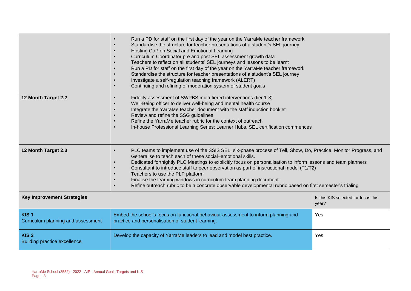|                                                         | Run a PD for staff on the first day of the year on the YarraMe teacher framework<br>Standardise the structure for teacher presentations of a student's SEL journey<br>Hosting CoP on Social and Emotional Learning<br>Curriculum Coordinator pre and post SEL assessment growth data<br>Teachers to reflect on all students' SEL journeys and lessons to be learnt<br>Run a PD for staff on the first day of the year on the YarraMe teacher framework<br>Standardise the structure for teacher presentations of a student's SEL journey<br>Investigate a self-regulation teaching framework (ALERT)<br>Continuing and refining of moderation system of student goals |                                              |
|---------------------------------------------------------|-----------------------------------------------------------------------------------------------------------------------------------------------------------------------------------------------------------------------------------------------------------------------------------------------------------------------------------------------------------------------------------------------------------------------------------------------------------------------------------------------------------------------------------------------------------------------------------------------------------------------------------------------------------------------|----------------------------------------------|
| 12 Month Target 2.2                                     | Fidelity assessment of SWPBS multi-tiered interventions (tier 1-3)<br>Well-Being officer to deliver well-being and mental health course<br>Integrate the YarraMe teacher document with the staff induction booklet<br>Review and refine the SSG guidelines<br>Refine the YarraMe teacher rubric for the context of outreach<br>In-house Professional Learning Series: Learner Hubs, SEL certification commences                                                                                                                                                                                                                                                       |                                              |
| 12 Month Target 2.3                                     | PLC teams to implement use of the SSIS SEL, six-phase process of Tell, Show, Do, Practice, Monitor Progress, and<br>$\bullet$<br>Generalise to teach each of these social-emotional skills.<br>Dedicated fortnightly PLC Meetings to explicitly focus on personalisation to inform lessons and team planners<br>$\bullet$<br>Consultant to introduce staff to peer observation as part of instructional model (T1/T2)<br>Teachers to use the PLP platform<br>Finalise the learning windows in curriculum team planning document<br>Refine outreach rubric to be a concrete observable developmental rubric based on first semester's trialing                         |                                              |
| <b>Key Improvement Strategies</b>                       |                                                                                                                                                                                                                                                                                                                                                                                                                                                                                                                                                                                                                                                                       | Is this KIS selected for focus this<br>year? |
| KIS <sub>1</sub><br>Curriculum planning and assessment  | Embed the school's focus on functional behaviour assessment to inform planning and<br>practice and personalisation of student learning.                                                                                                                                                                                                                                                                                                                                                                                                                                                                                                                               | Yes                                          |
| KIS <sub>2</sub><br><b>Building practice excellence</b> | Develop the capacity of YarraMe leaders to lead and model best practice.                                                                                                                                                                                                                                                                                                                                                                                                                                                                                                                                                                                              | Yes                                          |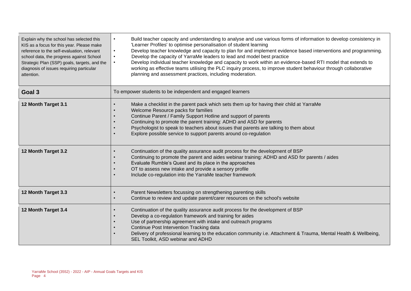| Explain why the school has selected this<br>KIS as a focus for this year. Please make<br>reference to the self-evaluation, relevant<br>school data, the progress against School<br>Strategic Plan (SSP) goals, targets, and the<br>diagnosis of issues requiring particular<br>attention. | Build teacher capacity and understanding to analyse and use various forms of information to develop consistency in<br>'Learner Profiles' to optimise personalisation of student learning<br>Develop teacher knowledge and capacity to plan for and implement evidence based interventions and programming.<br>Develop the capacity of YarraMe leaders to lead and model best practice<br>Develop individual teacher knowledge and capacity to work within an evidence-based RTI model that extends to<br>working as effective teams utilising the PLC inquiry process, to improve student behaviour through collaborative<br>planning and assessment practices, including moderation. |
|-------------------------------------------------------------------------------------------------------------------------------------------------------------------------------------------------------------------------------------------------------------------------------------------|---------------------------------------------------------------------------------------------------------------------------------------------------------------------------------------------------------------------------------------------------------------------------------------------------------------------------------------------------------------------------------------------------------------------------------------------------------------------------------------------------------------------------------------------------------------------------------------------------------------------------------------------------------------------------------------|
| Goal 3                                                                                                                                                                                                                                                                                    | To empower students to be independent and engaged learners                                                                                                                                                                                                                                                                                                                                                                                                                                                                                                                                                                                                                            |
| 12 Month Target 3.1                                                                                                                                                                                                                                                                       | Make a checklist in the parent pack which sets them up for having their child at YarraMe<br>Welcome Resource packs for families<br>Continue Parent / Family Support Hotline and support of parents<br>Continuing to promote the parent training: ADHD and ASD for parents<br>Psychologist to speak to teachers about issues that parents are talking to them about<br>Explore possible service to support parents around co-regulation                                                                                                                                                                                                                                                |
| 12 Month Target 3.2                                                                                                                                                                                                                                                                       | Continuation of the quality assurance audit process for the development of BSP<br>Continuing to promote the parent and aides webinar training: ADHD and ASD for parents / aides<br>Evaluate Rumble's Quest and its place in the approaches<br>OT to assess new intake and provide a sensory profile<br>Include co-regulation into the YarraMe teacher framework                                                                                                                                                                                                                                                                                                                       |
| 12 Month Target 3.3                                                                                                                                                                                                                                                                       | Parent Newsletters focussing on strengthening parenting skills<br>Continue to review and update parent/carer resources on the school's website                                                                                                                                                                                                                                                                                                                                                                                                                                                                                                                                        |
| 12 Month Target 3.4                                                                                                                                                                                                                                                                       | Continuation of the quality assurance audit process for the development of BSP<br>Develop a co-regulation framework and training for aides<br>Use of partnership agreement with intake and outreach programs<br>Continue Post Intervention Tracking data<br>Delivery of professional learning to the education community i.e. Attachment & Trauma, Mental Health & Wellbeing,<br>SEL Toolkit, ASD webinar and ADHD                                                                                                                                                                                                                                                                    |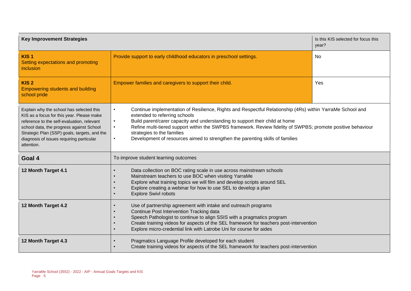| <b>Key Improvement Strategies</b>                                                                                                                                                                                                                                                         |                                                                                                                                                                                                                                                                                                                                                                                                                                                                                                  | Is this KIS selected for focus this<br>year? |
|-------------------------------------------------------------------------------------------------------------------------------------------------------------------------------------------------------------------------------------------------------------------------------------------|--------------------------------------------------------------------------------------------------------------------------------------------------------------------------------------------------------------------------------------------------------------------------------------------------------------------------------------------------------------------------------------------------------------------------------------------------------------------------------------------------|----------------------------------------------|
| KIS <sub>1</sub><br>Setting expectations and promoting<br>inclusion                                                                                                                                                                                                                       | Provide support to early childhood educators in preschool settings.                                                                                                                                                                                                                                                                                                                                                                                                                              | No                                           |
| KIS <sub>2</sub><br><b>Empowering students and building</b><br>school pride                                                                                                                                                                                                               | Empower families and caregivers to support their child.                                                                                                                                                                                                                                                                                                                                                                                                                                          | Yes                                          |
| Explain why the school has selected this<br>KIS as a focus for this year. Please make<br>reference to the self-evaluation, relevant<br>school data, the progress against School<br>Strategic Plan (SSP) goals, targets, and the<br>diagnosis of issues requiring particular<br>attention. | Continue implementation of Resilience, Rights and Respectful Relationship (4Rs) within YarraMe School and<br>$\bullet$<br>extended to referring schools<br>Build parent/carer capacity and understanding to support their child at home<br>Refine multi-tiered support within the SWPBS framework. Review fidelity of SWPBS; promote positive behaviour<br>$\bullet$<br>strategies to the families<br>Development of resources aimed to strengthen the parenting skills of families<br>$\bullet$ |                                              |
| Goal 4                                                                                                                                                                                                                                                                                    | To improve student learning outcomes                                                                                                                                                                                                                                                                                                                                                                                                                                                             |                                              |
| 12 Month Target 4.1                                                                                                                                                                                                                                                                       | Data collection on BOC rating scale in use across mainstream schools<br>Mainstream teachers to use BOC when visiting YarraMe<br>Explore what training topics we will film and develop scripts around SEL<br>$\bullet$<br>Explore creating a webinar for how to use SEL to develop a plan<br>$\bullet$<br><b>Explore Swivl robots</b><br>$\bullet$                                                                                                                                                |                                              |
| 12 Month Target 4.2                                                                                                                                                                                                                                                                       | Use of partnership agreement with intake and outreach programs<br>Continue Post Intervention Tracking data<br>Speech Pathologist to continue to align SSIS with a pragmatics program<br>Create training videos for aspects of the SEL framework for teachers post-intervention<br>$\bullet$<br>Explore micro-credential link with Latrobe Uni for course for aides<br>$\bullet$                                                                                                                  |                                              |
| 12 Month Target 4.3                                                                                                                                                                                                                                                                       | Pragmatics Language Profile developed for each student<br>Create training videos for aspects of the SEL framework for teachers post-intervention                                                                                                                                                                                                                                                                                                                                                 |                                              |